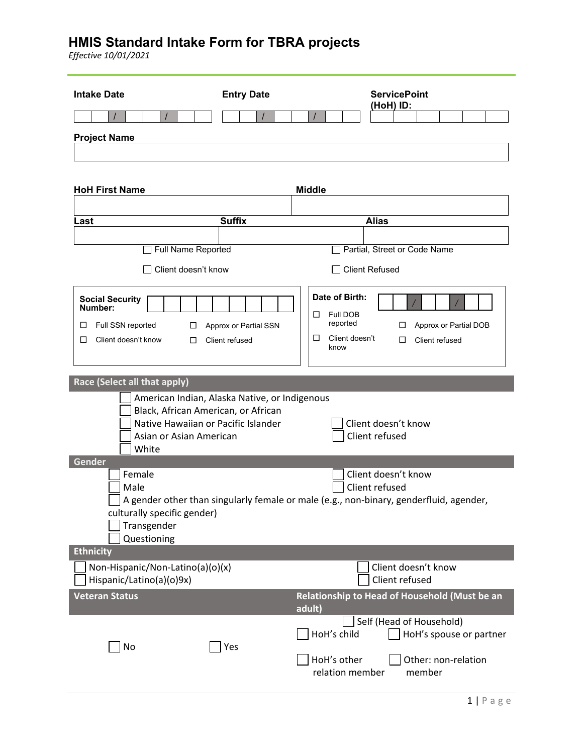*Effective 10/01/2021*

| <b>Intake Date</b>                                           | <b>Entry Date</b>                                                                    | <b>ServicePoint</b><br>(HoH) ID:                                                       |
|--------------------------------------------------------------|--------------------------------------------------------------------------------------|----------------------------------------------------------------------------------------|
|                                                              |                                                                                      |                                                                                        |
| <b>Project Name</b>                                          |                                                                                      |                                                                                        |
|                                                              |                                                                                      |                                                                                        |
|                                                              |                                                                                      |                                                                                        |
| <b>HoH First Name</b>                                        |                                                                                      | <b>Middle</b>                                                                          |
|                                                              |                                                                                      |                                                                                        |
| Last                                                         | <b>Suffix</b>                                                                        | <b>Alias</b>                                                                           |
| Full Name Reported                                           |                                                                                      | Partial, Street or Code Name                                                           |
|                                                              |                                                                                      |                                                                                        |
| Client doesn't know                                          |                                                                                      | <b>Client Refused</b>                                                                  |
| <b>Social Security</b><br>Number:                            |                                                                                      | Date of Birth:                                                                         |
| Full SSN reported<br>⊔                                       |                                                                                      | Full DOB<br>□<br>reported<br>□                                                         |
| ⊔<br>□<br>Client doesn't know<br>□                           | Approx or Partial SSN<br>Client refused                                              | Approx or Partial DOB<br>□<br>Client doesn't<br>□<br>Client refused                    |
|                                                              |                                                                                      | know                                                                                   |
|                                                              |                                                                                      |                                                                                        |
| Race (Select all that apply)                                 |                                                                                      |                                                                                        |
|                                                              | American Indian, Alaska Native, or Indigenous<br>Black, African American, or African |                                                                                        |
|                                                              | Native Hawaiian or Pacific Islander                                                  | Client doesn't know                                                                    |
| Asian or Asian American                                      |                                                                                      | Client refused                                                                         |
| White<br>Gender                                              |                                                                                      |                                                                                        |
| Female                                                       |                                                                                      | Client doesn't know                                                                    |
| Male                                                         |                                                                                      | Client refused                                                                         |
| culturally specific gender)                                  |                                                                                      | A gender other than singularly female or male (e.g., non-binary, genderfluid, agender, |
| Transgender                                                  |                                                                                      |                                                                                        |
| Questioning                                                  |                                                                                      |                                                                                        |
| <b>Ethnicity</b>                                             |                                                                                      |                                                                                        |
| Non-Hispanic/Non-Latino(a)(o)(x)<br>Hispanic/Latino(a)(o)9x) |                                                                                      | Client doesn't know<br>Client refused                                                  |
| <b>Veteran Status</b>                                        |                                                                                      | Relationship to Head of Household (Must be an<br>adult)                                |
|                                                              |                                                                                      | Self (Head of Household)                                                               |
| No                                                           | Yes                                                                                  | HoH's child<br>HoH's spouse or partner                                                 |
|                                                              |                                                                                      | HoH's other<br>Other: non-relation<br>relation member<br>member                        |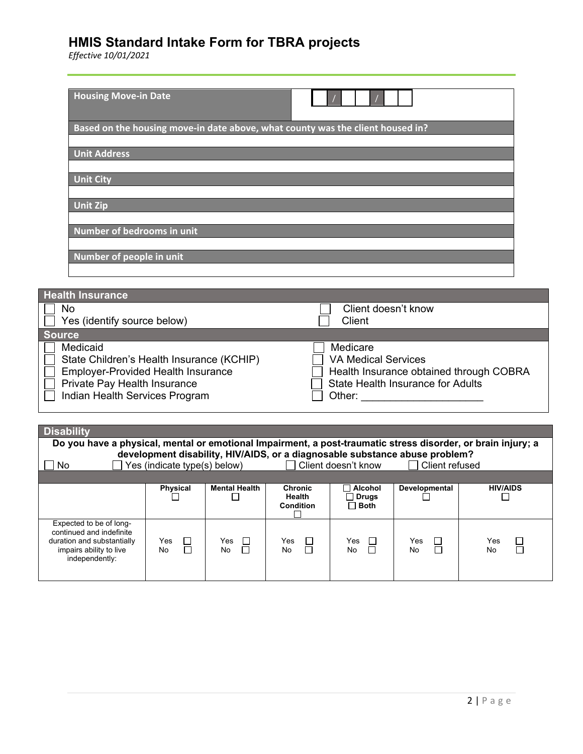*Effective 10/01/2021*

| <b>Housing Move-in Date</b>                                                                                                        |                                                                                                                               |
|------------------------------------------------------------------------------------------------------------------------------------|-------------------------------------------------------------------------------------------------------------------------------|
| Based on the housing move-in date above, what county was the client housed in?                                                     |                                                                                                                               |
| <b>Unit Address</b>                                                                                                                |                                                                                                                               |
| <b>Unit City</b>                                                                                                                   |                                                                                                                               |
| <b>Unit Zip</b>                                                                                                                    |                                                                                                                               |
| Number of bedrooms in unit                                                                                                         |                                                                                                                               |
| Number of people in unit                                                                                                           |                                                                                                                               |
| <b>Health Insurance</b>                                                                                                            |                                                                                                                               |
| No<br>Yes (identify source below)                                                                                                  | Client doesn't know<br>Client                                                                                                 |
| <b>Source</b>                                                                                                                      |                                                                                                                               |
| Medicaid<br>State Children's Health Insurance (KCHIP)<br><b>Employer-Provided Health Insurance</b><br>Private Pay Health Insurance | Medicare<br><b>VA Medical Services</b><br>Health Insurance obtained through COBRA<br><b>State Health Insurance for Adults</b> |

|  |  | Indian Health Services Program |  |
|--|--|--------------------------------|--|
|--|--|--------------------------------|--|

**Disability**

| - Private Pay Health Insurance<br>Indian Health Services Program                                             | State Health Insurance for Adults<br>Other: |  |  |
|--------------------------------------------------------------------------------------------------------------|---------------------------------------------|--|--|
|                                                                                                              |                                             |  |  |
| <b>Disability</b>                                                                                            |                                             |  |  |
| Do you have a physical, mental or emotional Impairment, a post-traumatic stress disorder, or brain injury; a |                                             |  |  |

| development disability, HIV/AIDS, or a diagnosable substance abuse problem?<br>Yes (indicate type(s) below)<br>Client doesn't know<br>Client refused<br>No |                 |                                     |                            |                            |                      |                                      |
|------------------------------------------------------------------------------------------------------------------------------------------------------------|-----------------|-------------------------------------|----------------------------|----------------------------|----------------------|--------------------------------------|
|                                                                                                                                                            | <b>Physical</b> | <b>Mental Health</b>                | <b>Chronic</b>             | Alcohol                    | <b>Developmental</b> | <b>HIV/AIDS</b>                      |
|                                                                                                                                                            |                 |                                     | Health<br><b>Condition</b> | $\Box$ Both                |                      |                                      |
| Expected to be of long-<br>continued and indefinite<br>duration and substantially<br>impairs ability to live<br>independently:                             | Yes<br>No       | Yes<br>$\mathbf{1}$<br>$\Box$<br>No | Yes<br>$\mathbf{I}$<br>No  | Yes.<br>$\mathbf{I}$<br>No | Yes<br>П<br>No       | Yes<br>$\mathcal{L}$<br>$\Box$<br>No |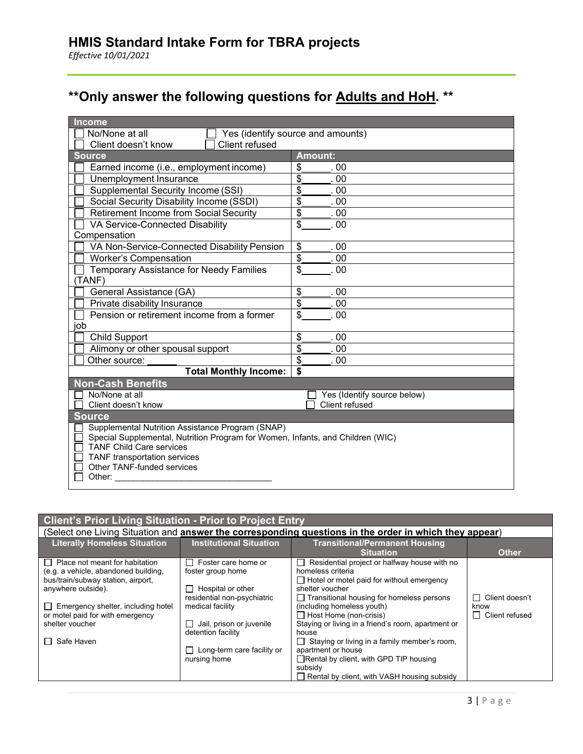# **\*\*Only answer the following questions for Adults and HoH. \*\***

| Income                                                                                                            |                                             |  |  |
|-------------------------------------------------------------------------------------------------------------------|---------------------------------------------|--|--|
| No/None at all                                                                                                    | Yes (identify source and amounts)           |  |  |
| Client refused<br>Client doesn't know                                                                             |                                             |  |  |
| <b>Source</b>                                                                                                     | Amount:                                     |  |  |
| Earned income (i.e., employment income)                                                                           | \$<br>-00                                   |  |  |
| Unemployment Insurance                                                                                            | \$<br>00                                    |  |  |
| Supplemental Security Income (SSI)                                                                                | \$<br>. 00                                  |  |  |
| Social Security Disability Income (SSDI)                                                                          | \$<br>.00                                   |  |  |
| <b>Retirement Income from Social Security</b>                                                                     | \$<br>00                                    |  |  |
| VA Service-Connected Disability                                                                                   | \$<br>.00                                   |  |  |
| Compensation                                                                                                      |                                             |  |  |
| VA Non-Service-Connected Disability Pension                                                                       | \$<br>.00                                   |  |  |
| <b>Worker's Compensation</b>                                                                                      | $\overline{\boldsymbol{\mathsf{s}}}$<br>.00 |  |  |
| <b>Temporary Assistance for Needy Families</b>                                                                    | $\overline{\mathbf{s}}$<br>.00              |  |  |
| (TANF)                                                                                                            |                                             |  |  |
| General Assistance (GA)                                                                                           | \$<br>00                                    |  |  |
| Private disability Insurance                                                                                      | \$<br>00                                    |  |  |
| Pension or retirement income from a former                                                                        | \$<br>00                                    |  |  |
| job                                                                                                               |                                             |  |  |
| <b>Child Support</b>                                                                                              | \$<br>00                                    |  |  |
| Alimony or other spousal support                                                                                  | \$<br>.00                                   |  |  |
| Other source:                                                                                                     | $\overline{\mathbf{s}}$<br>00               |  |  |
| <b>Total Monthly Income:</b>                                                                                      | \$                                          |  |  |
| <b>Non-Cash Benefits</b>                                                                                          |                                             |  |  |
| No/None at all                                                                                                    | Yes (Identify source below)                 |  |  |
| Client doesn't know                                                                                               | Client refused                              |  |  |
| <b>Source</b>                                                                                                     |                                             |  |  |
| Supplemental Nutrition Assistance Program (SNAP)                                                                  |                                             |  |  |
| Special Supplemental, Nutrition Program for Women, Infants, and Children (WIC)<br><b>TANF Child Care services</b> |                                             |  |  |
| TANF transportation services                                                                                      |                                             |  |  |
| <b>Other TANF-funded services</b>                                                                                 |                                             |  |  |
| Other:                                                                                                            |                                             |  |  |
|                                                                                                                   |                                             |  |  |

#### **Client's Prior Living Situation - Prior to Project Entry** (Select one Living Situation and **answer the corresponding questions in the order in which they appear**) **Literally Homeless Situation Institutional Situation Transitional/Permanent Housing Situation Other**  $\Box$  Place not meant for habitation (e.g. a vehicle, abandoned building, bus/train/subway station, airport, anywhere outside).  $\Box$  Emergency shelter, including hotel or motel paid for with emergency shelter voucher  $\Box$  Safe Haven □ Foster care home or foster group home  $\Box$  Hospital or other residential non-psychiatric medical facility  $\Box$  Jail, prison or juvenile detention facility □ Long-term care facility or nursing home  $\Box$  Residential project or halfway house with no homeless criteria □ Hotel or motel paid for without emergency shelter voucher Transitional housing for homeless persons (including homeless youth)  $\Box$  Host Home (non-crisis) Staying or living in a friend's room, apartment or house  $\Box$  Staying or living in a family member's room, apartment or house □Rental by client, with GPD TIP housing subsidy □ Rental by client, with VASH housing subsidy Client doesn't know □ Client refused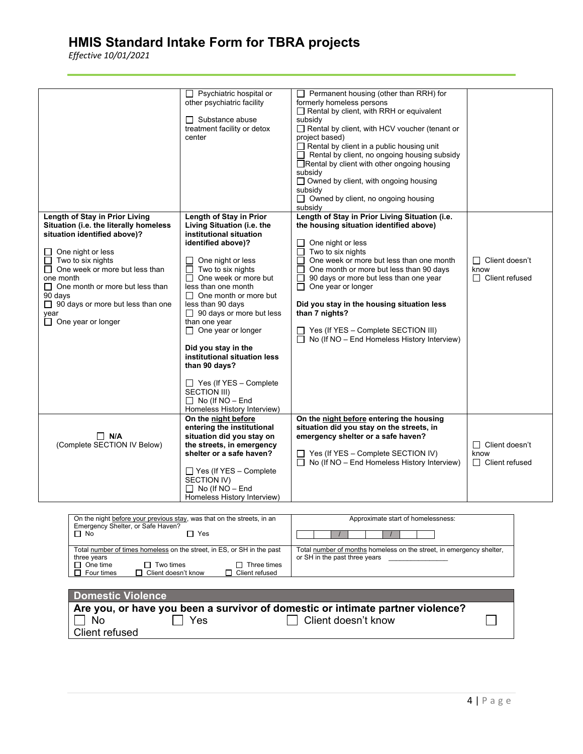*Effective 10/01/2021*

|                                                                                                                                                                                                                                                                                                                                                         | $\Box$ Psychiatric hospital or<br>other psychiatric facility<br>$\Box$ Substance abuse<br>treatment facility or detox<br>center                                                                                                                                                                                                                                                                                                                                                                                                                     | Permanent housing (other than RRH) for<br>$\Box$<br>formerly homeless persons<br>$\Box$ Rental by client, with RRH or equivalent<br>subsidy<br>Rental by client, with HCV voucher (tenant or<br>project based)<br>$\Box$ Rental by client in a public housing unit<br>$\Box$ Rental by client, no ongoing housing subsidy<br>□ Rental by client with other ongoing housing<br>subsidy<br>□ Owned by client, with ongoing housing<br>subsidy<br>$\Box$ Owned by client, no ongoing housing<br>subsidy |                                                        |
|---------------------------------------------------------------------------------------------------------------------------------------------------------------------------------------------------------------------------------------------------------------------------------------------------------------------------------------------------------|-----------------------------------------------------------------------------------------------------------------------------------------------------------------------------------------------------------------------------------------------------------------------------------------------------------------------------------------------------------------------------------------------------------------------------------------------------------------------------------------------------------------------------------------------------|------------------------------------------------------------------------------------------------------------------------------------------------------------------------------------------------------------------------------------------------------------------------------------------------------------------------------------------------------------------------------------------------------------------------------------------------------------------------------------------------------|--------------------------------------------------------|
| Length of Stay in Prior Living<br>Situation (i.e. the literally homeless<br>situation identified above)?<br>$\Box$ One night or less<br>$\Box$ Two to six nights<br>□ One week or more but less than<br>one month<br>$\Box$ One month or more but less than<br>90 days<br>$\Box$ 90 days or more but less than one<br>year<br>$\Box$ One year or longer | Length of Stay in Prior<br>Living Situation (i.e. the<br>institutional situation<br>identified above)?<br>One night or less<br>Two to six nights<br>$\mathsf{L}$<br>One week or more but<br>П<br>less than one month<br>$\Box$ One month or more but<br>less than 90 days<br>$\Box$ 90 days or more but less<br>than one year<br>$\Box$ One year or longer<br>Did you stay in the<br>institutional situation less<br>than 90 days?<br>$\Box$ Yes (If YES - Complete<br><b>SECTION III)</b><br>$\Box$ No (If NO - End<br>Homeless History Interview) | Length of Stay in Prior Living Situation (i.e.<br>the housing situation identified above)<br>One night or less<br>П<br>Two to six nights<br>□<br>One week or more but less than one month<br>П<br>One month or more but less than 90 days<br>$\sqcup$<br>90 days or more but less than one year<br>$\Box$<br>$\Box$<br>One year or longer<br>Did you stay in the housing situation less<br>than 7 nights?<br>Yes (If YES - Complete SECTION III)<br>No (If NO - End Homeless History Interview)      | □ Client doesn't<br>know<br>$\Box$ Client refused      |
| $\Box$ N/A<br>(Complete SECTION IV Below)                                                                                                                                                                                                                                                                                                               | On the night before<br>entering the institutional<br>situation did you stay on<br>the streets, in emergency<br>shelter or a safe haven?<br>$\Box$ Yes (If YES – Complete<br><b>SECTION IV)</b><br>$\Box$ No (If NO - End<br>Homeless History Interview)                                                                                                                                                                                                                                                                                             | On the night before entering the housing<br>situation did you stay on the streets, in<br>emergency shelter or a safe haven?<br>$\Box$ Yes (If YES – Complete SECTION IV)<br>$\Box$ No (If NO – End Homeless History Interview)                                                                                                                                                                                                                                                                       | $\Box$ Client doesn't<br>know<br>$\Box$ Client refused |

| On the night before your previous stay, was that on the streets, in an<br>Emergency Shelter, or Safe Haven?<br>$\Box$ No<br>'Yes                                                              | Approximate start of homelessness:                                                                    |  |
|-----------------------------------------------------------------------------------------------------------------------------------------------------------------------------------------------|-------------------------------------------------------------------------------------------------------|--|
| Total number of times homeless on the street, in ES, or SH in the past<br>three years<br>$\Box$ Two times<br>One time<br>Three times<br>□ Client doesn't know<br>Four times<br>Client refused | Total number of months homeless on the street, in emergency shelter,<br>or SH in the past three years |  |

| Domestic Violence                                                              |  |
|--------------------------------------------------------------------------------|--|
| Are you, or have you been a survivor of domestic or intimate partner violence? |  |
| $\Box$ Client doesn't know<br>Yes<br>No.                                       |  |
| Client refused                                                                 |  |